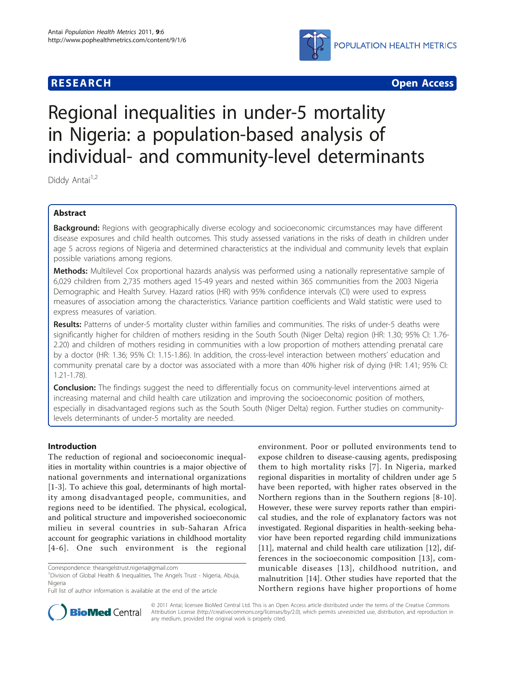

**RESEARCH CONTROL** CONTROL CONTROL CONTROL CONTROL CONTROL CONTROL CONTROL CONTROL CONTROL CONTROL CONTROL CONTROL

# Regional inequalities in under-5 mortality in Nigeria: a population-based analysis of individual- and community-level determinants

Diddy Antai<sup>1,2</sup>

# Abstract

Background: Regions with geographically diverse ecology and socioeconomic circumstances may have different disease exposures and child health outcomes. This study assessed variations in the risks of death in children under age 5 across regions of Nigeria and determined characteristics at the individual and community levels that explain possible variations among regions.

Methods: Multilevel Cox proportional hazards analysis was performed using a nationally representative sample of 6,029 children from 2,735 mothers aged 15-49 years and nested within 365 communities from the 2003 Nigeria Demographic and Health Survey. Hazard ratios (HR) with 95% confidence intervals (CI) were used to express measures of association among the characteristics. Variance partition coefficients and Wald statistic were used to express measures of variation.

Results: Patterns of under-5 mortality cluster within families and communities. The risks of under-5 deaths were significantly higher for children of mothers residing in the South South (Niger Delta) region (HR: 1.30; 95% CI: 1.76-2.20) and children of mothers residing in communities with a low proportion of mothers attending prenatal care by a doctor (HR: 1.36; 95% CI: 1.15-1.86). In addition, the cross-level interaction between mothers' education and community prenatal care by a doctor was associated with a more than 40% higher risk of dying (HR: 1.41; 95% CI: 1.21-1.78).

**Conclusion:** The findings suggest the need to differentially focus on community-level interventions aimed at increasing maternal and child health care utilization and improving the socioeconomic position of mothers, especially in disadvantaged regions such as the South South (Niger Delta) region. Further studies on communitylevels determinants of under-5 mortality are needed.

# Introduction

The reduction of regional and socioeconomic inequalities in mortality within countries is a major objective of national governments and international organizations [[1-3](#page-8-0)]. To achieve this goal, determinants of high mortality among disadvantaged people, communities, and regions need to be identified. The physical, ecological, and political structure and impoverished socioeconomic milieu in several countries in sub-Saharan Africa account for geographic variations in childhood mortality [[4-6](#page-8-0)]. One such environment is the regional

environment. Poor or polluted environments tend to expose children to disease-causing agents, predisposing them to high mortality risks [[7](#page-8-0)]. In Nigeria, marked regional disparities in mortality of children under age 5 have been reported, with higher rates observed in the Northern regions than in the Southern regions [[8](#page-8-0)-[10](#page-8-0)]. However, these were survey reports rather than empirical studies, and the role of explanatory factors was not investigated. Regional disparities in health-seeking behavior have been reported regarding child immunizations [[11\]](#page-8-0), maternal and child health care utilization [[12\]](#page-8-0), differences in the socioeconomic composition [\[13\]](#page-8-0), communicable diseases [\[13](#page-8-0)], childhood nutrition, and malnutrition [\[14](#page-8-0)]. Other studies have reported that the Northern regions have higher proportions of home



© 2011 Antai; licensee BioMed Central Ltd. This is an Open Access article distributed under the terms of the Creative Commons Attribution License [\(http://creativecommons.org/licenses/by/2.0](http://creativecommons.org/licenses/by/2.0)), which permits unrestricted use, distribution, and reproduction in any medium, provided the original work is properly cited.

Correspondence: [theangelstrust.nigeria@gmail.com](mailto:theangelstrust.nigeria@gmail.com)

<sup>&</sup>lt;sup>1</sup> Division of Global Health & Inequalities, The Angels Trust - Nigeria, Abuja, Nigeria

Full list of author information is available at the end of the article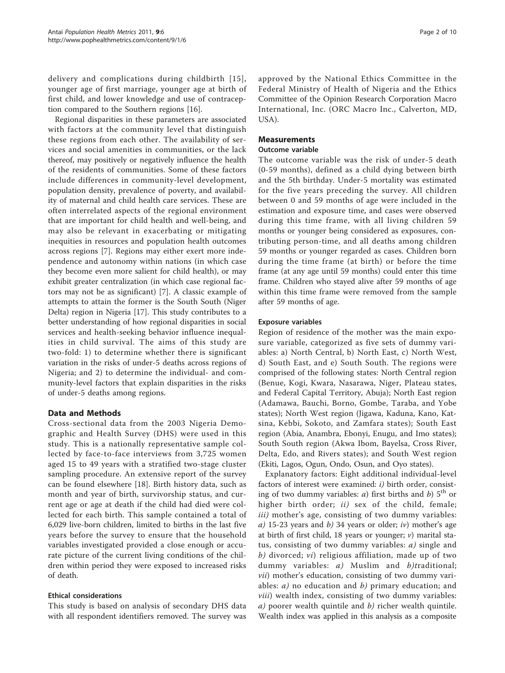delivery and complications during childbirth [[15\]](#page-8-0), younger age of first marriage, younger age at birth of first child, and lower knowledge and use of contraception compared to the Southern regions [[16](#page-8-0)].

Regional disparities in these parameters are associated with factors at the community level that distinguish these regions from each other. The availability of services and social amenities in communities, or the lack thereof, may positively or negatively influence the health of the residents of communities. Some of these factors include differences in community-level development, population density, prevalence of poverty, and availability of maternal and child health care services. These are often interrelated aspects of the regional environment that are important for child health and well-being, and may also be relevant in exacerbating or mitigating inequities in resources and population health outcomes across regions [\[7](#page-8-0)]. Regions may either exert more independence and autonomy within nations (in which case they become even more salient for child health), or may exhibit greater centralization (in which case regional factors may not be as significant) [[7\]](#page-8-0). A classic example of attempts to attain the former is the South South (Niger Delta) region in Nigeria [[17\]](#page-8-0). This study contributes to a better understanding of how regional disparities in social services and health-seeking behavior influence inequalities in child survival. The aims of this study are two-fold: 1) to determine whether there is significant variation in the risks of under-5 deaths across regions of Nigeria; and 2) to determine the individual- and community-level factors that explain disparities in the risks of under-5 deaths among regions.

#### Data and Methods

Cross-sectional data from the 2003 Nigeria Demographic and Health Survey (DHS) were used in this study. This is a nationally representative sample collected by face-to-face interviews from 3,725 women aged 15 to 49 years with a stratified two-stage cluster sampling procedure. An extensive report of the survey can be found elsewhere [[18\]](#page-8-0). Birth history data, such as month and year of birth, survivorship status, and current age or age at death if the child had died were collected for each birth. This sample contained a total of 6,029 live-born children, limited to births in the last five years before the survey to ensure that the household variables investigated provided a close enough or accurate picture of the current living conditions of the children within period they were exposed to increased risks of death.

#### Ethical considerations

This study is based on analysis of secondary DHS data with all respondent identifiers removed. The survey was Federal Ministry of Health of Nigeria and the Ethics Committee of the Opinion Research Corporation Macro International, Inc. (ORC Macro Inc., Calverton, MD, USA).

# **Measurements**

### Outcome variable

The outcome variable was the risk of under-5 death (0-59 months), defined as a child dying between birth and the 5th birthday. Under-5 mortality was estimated for the five years preceding the survey. All children between 0 and 59 months of age were included in the estimation and exposure time, and cases were observed during this time frame, with all living children 59 months or younger being considered as exposures, contributing person-time, and all deaths among children 59 months or younger regarded as cases. Children born during the time frame (at birth) or before the time frame (at any age until 59 months) could enter this time frame. Children who stayed alive after 59 months of age within this time frame were removed from the sample after 59 months of age.

# Exposure variables

Region of residence of the mother was the main exposure variable, categorized as five sets of dummy variables: a) North Central, b) North East, c) North West, d) South East, and e) South South. The regions were comprised of the following states: North Central region (Benue, Kogi, Kwara, Nasarawa, Niger, Plateau states, and Federal Capital Territory, Abuja); North East region (Adamawa, Bauchi, Borno, Gombe, Taraba, and Yobe states); North West region (Jigawa, Kaduna, Kano, Katsina, Kebbi, Sokoto, and Zamfara states); South East region (Abia, Anambra, Ebonyi, Enugu, and Imo states); South South region (Akwa Ibom, Bayelsa, Cross River, Delta, Edo, and Rivers states); and South West region (Ekiti, Lagos, Ogun, Ondo, Osun, and Oyo states).

Explanatory factors: Eight additional individual-level factors of interest were examined:  $i$ ) birth order, consisting of two dummy variables: *a*) first births and *b*)  $5<sup>th</sup>$  or higher birth order;  $ii$ ) sex of the child, female; iii) mother's age, consisting of two dummy variables: a) 15-23 years and  $b$ ) 34 years or older;  $iv$ ) mother's age at birth of first child, 18 years or younger;  $\nu$ ) marital status, consisting of two dummy variables:  $a$ ) single and b) divorced; *vi*) religious affiliation, made up of two dummy variables:  $a)$  Muslim and  $b)$ traditional; vii) mother's education, consisting of two dummy variables:  $a$ ) no education and  $b$ ) primary education; and viii) wealth index, consisting of two dummy variables: *a*) poorer wealth quintile and  $b$ ) richer wealth quintile. Wealth index was applied in this analysis as a composite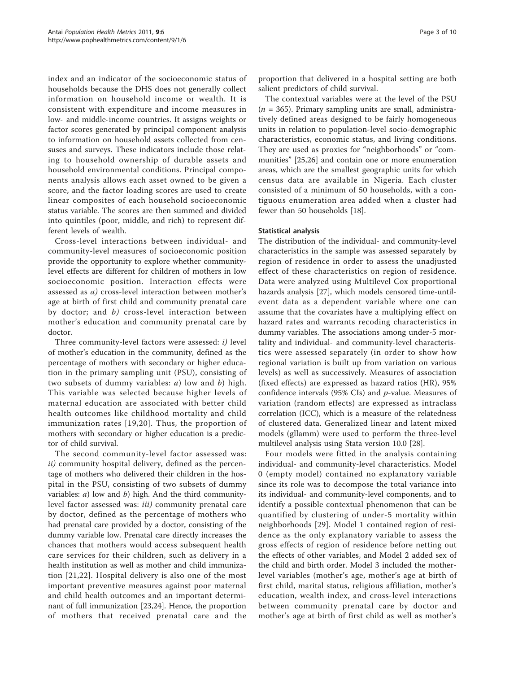index and an indicator of the socioeconomic status of households because the DHS does not generally collect information on household income or wealth. It is consistent with expenditure and income measures in low- and middle-income countries. It assigns weights or factor scores generated by principal component analysis to information on household assets collected from censuses and surveys. These indicators include those relating to household ownership of durable assets and household environmental conditions. Principal components analysis allows each asset owned to be given a score, and the factor loading scores are used to create linear composites of each household socioeconomic status variable. The scores are then summed and divided into quintiles (poor, middle, and rich) to represent different levels of wealth.

Cross-level interactions between individual- and community-level measures of socioeconomic position provide the opportunity to explore whether communitylevel effects are different for children of mothers in low socioeconomic position. Interaction effects were assessed as a) cross-level interaction between mother's age at birth of first child and community prenatal care by doctor; and b) cross-level interaction between mother's education and community prenatal care by doctor.

Three community-level factors were assessed: i) level of mother's education in the community, defined as the percentage of mothers with secondary or higher education in the primary sampling unit (PSU), consisting of two subsets of dummy variables:  $a$ ) low and  $b$ ) high. This variable was selected because higher levels of maternal education are associated with better child health outcomes like childhood mortality and child immunization rates [[19](#page-8-0),[20](#page-8-0)]. Thus, the proportion of mothers with secondary or higher education is a predictor of child survival.

The second community-level factor assessed was: ii) community hospital delivery, defined as the percentage of mothers who delivered their children in the hospital in the PSU, consisting of two subsets of dummy variables:  $a$ ) low and  $b$ ) high. And the third communitylevel factor assessed was: iii) community prenatal care by doctor, defined as the percentage of mothers who had prenatal care provided by a doctor, consisting of the dummy variable low. Prenatal care directly increases the chances that mothers would access subsequent health care services for their children, such as delivery in a health institution as well as mother and child immunization [[21](#page-8-0),[22\]](#page-8-0). Hospital delivery is also one of the most important preventive measures against poor maternal and child health outcomes and an important determinant of full immunization [[23,24\]](#page-8-0). Hence, the proportion of mothers that received prenatal care and the

proportion that delivered in a hospital setting are both salient predictors of child survival.

The contextual variables were at the level of the PSU  $(n = 365)$ . Primary sampling units are small, administratively defined areas designed to be fairly homogeneous units in relation to population-level socio-demographic characteristics, economic status, and living conditions. They are used as proxies for "neighborhoods" or "communities" [\[25](#page-8-0)[,26](#page-9-0)] and contain one or more enumeration areas, which are the smallest geographic units for which census data are available in Nigeria. Each cluster consisted of a minimum of 50 households, with a contiguous enumeration area added when a cluster had fewer than 50 households [[18](#page-8-0)].

#### Statistical analysis

The distribution of the individual- and community-level characteristics in the sample was assessed separately by region of residence in order to assess the unadjusted effect of these characteristics on region of residence. Data were analyzed using Multilevel Cox proportional hazards analysis [\[27](#page-9-0)], which models censored time-untilevent data as a dependent variable where one can assume that the covariates have a multiplying effect on hazard rates and warrants recoding characteristics in dummy variables. The associations among under-5 mortality and individual- and community-level characteristics were assessed separately (in order to show how regional variation is built up from variation on various levels) as well as successively. Measures of association (fixed effects) are expressed as hazard ratios (HR), 95% confidence intervals (95% CIs) and p-value. Measures of variation (random effects) are expressed as intraclass correlation (ICC), which is a measure of the relatedness of clustered data. Generalized linear and latent mixed models (gllamm) were used to perform the three-level multilevel analysis using Stata version 10.0 [\[28](#page-9-0)].

Four models were fitted in the analysis containing individual- and community-level characteristics. Model 0 (empty model) contained no explanatory variable since its role was to decompose the total variance into its individual- and community-level components, and to identify a possible contextual phenomenon that can be quantified by clustering of under-5 mortality within neighborhoods [\[29\]](#page-9-0). Model 1 contained region of residence as the only explanatory variable to assess the gross effects of region of residence before netting out the effects of other variables, and Model 2 added sex of the child and birth order. Model 3 included the motherlevel variables (mother's age, mother's age at birth of first child, marital status, religious affiliation, mother's education, wealth index, and cross-level interactions between community prenatal care by doctor and mother's age at birth of first child as well as mother's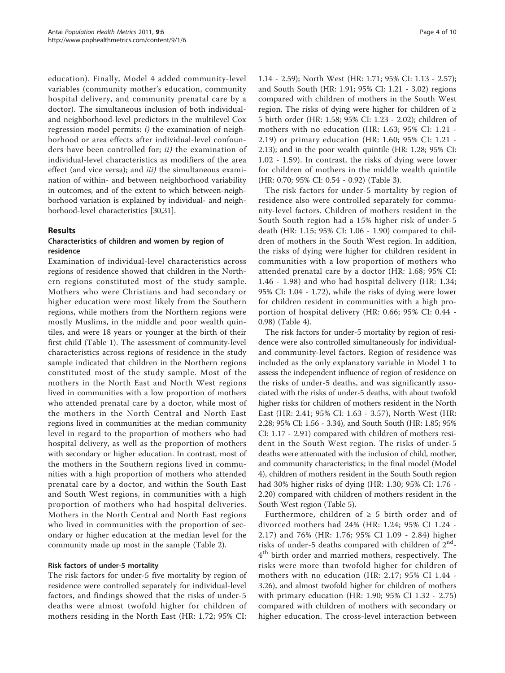education). Finally, Model 4 added community-level variables (community mother's education, community hospital delivery, and community prenatal care by a doctor). The simultaneous inclusion of both individualand neighborhood-level predictors in the multilevel Cox regression model permits:  $i$ ) the examination of neighborhood or area effects after individual-level confounders have been controlled for; ii) the examination of individual-level characteristics as modifiers of the area effect (and vice versa); and *iii*) the simultaneous examination of within- and between neighborhood variability in outcomes, and of the extent to which between-neighborhood variation is explained by individual- and neighborhood-level characteristics [\[30,31](#page-9-0)].

#### Results

# Characteristics of children and women by region of residence

Examination of individual-level characteristics across regions of residence showed that children in the Northern regions constituted most of the study sample. Mothers who were Christians and had secondary or higher education were most likely from the Southern regions, while mothers from the Northern regions were mostly Muslims, in the middle and poor wealth quintiles, and were 18 years or younger at the birth of their first child (Table [1\)](#page-4-0). The assessment of community-level characteristics across regions of residence in the study sample indicated that children in the Northern regions constituted most of the study sample. Most of the mothers in the North East and North West regions lived in communities with a low proportion of mothers who attended prenatal care by a doctor, while most of the mothers in the North Central and North East regions lived in communities at the median community level in regard to the proportion of mothers who had hospital delivery, as well as the proportion of mothers with secondary or higher education. In contrast, most of the mothers in the Southern regions lived in communities with a high proportion of mothers who attended prenatal care by a doctor, and within the South East and South West regions, in communities with a high proportion of mothers who had hospital deliveries. Mothers in the North Central and North East regions who lived in communities with the proportion of secondary or higher education at the median level for the community made up most in the sample (Table [2\)](#page-4-0).

#### Risk factors of under-5 mortality

The risk factors for under-5 five mortality by region of residence were controlled separately for individual-level factors, and findings showed that the risks of under-5 deaths were almost twofold higher for children of mothers residing in the North East (HR: 1.72; 95% CI:

1.14 - 2.59); North West (HR: 1.71; 95% CI: 1.13 - 2.57); and South South (HR: 1.91; 95% CI: 1.21 - 3.02) regions compared with children of mothers in the South West region. The risks of dying were higher for children of  $\geq$ 5 birth order (HR: 1.58; 95% CI: 1.23 - 2.02); children of mothers with no education (HR: 1.63; 95% CI: 1.21 - 2.19) or primary education (HR: 1.60; 95% CI: 1.21 - 2.13); and in the poor wealth quintile (HR: 1.28; 95% CI: 1.02 - 1.59). In contrast, the risks of dying were lower for children of mothers in the middle wealth quintile (HR: 0.70; 95% CI: 0.54 - 0.92) (Table [3](#page-5-0)).

The risk factors for under-5 mortality by region of residence also were controlled separately for community-level factors. Children of mothers resident in the South South region had a 15% higher risk of under-5 death (HR: 1.15; 95% CI: 1.06 - 1.90) compared to children of mothers in the South West region. In addition, the risks of dying were higher for children resident in communities with a low proportion of mothers who attended prenatal care by a doctor (HR: 1.68; 95% CI: 1.46 - 1.98) and who had hospital delivery (HR: 1.34; 95% CI: 1.04 - 1.72), while the risks of dying were lower for children resident in communities with a high proportion of hospital delivery (HR: 0.66; 95% CI: 0.44 - 0.98) (Table [4](#page-5-0)).

The risk factors for under-5 mortality by region of residence were also controlled simultaneously for individualand community-level factors. Region of residence was included as the only explanatory variable in Model 1 to assess the independent influence of region of residence on the risks of under-5 deaths, and was significantly associated with the risks of under-5 deaths, with about twofold higher risks for children of mothers resident in the North East (HR: 2.41; 95% CI: 1.63 - 3.57), North West (HR: 2.28; 95% CI: 1.56 - 3.34), and South South (HR: 1.85; 95% CI: 1.17 - 2.91) compared with children of mothers resident in the South West region. The risks of under-5 deaths were attenuated with the inclusion of child, mother, and community characteristics; in the final model (Model 4), children of mothers resident in the South South region had 30% higher risks of dying (HR: 1.30; 95% CI: 1.76 - 2.20) compared with children of mothers resident in the South West region (Table [5](#page-6-0)).

Furthermore, children of  $\geq$  5 birth order and of divorced mothers had 24% (HR: 1.24; 95% CI 1.24 - 2.17) and 76% (HR: 1.76; 95% CI 1.09 - 2.84) higher risks of under-5 deaths compared with children of  $2<sup>nd</sup>$ - $4<sup>th</sup>$  birth order and married mothers, respectively. The risks were more than twofold higher for children of mothers with no education (HR: 2.17; 95% CI 1.44 - 3.26), and almost twofold higher for children of mothers with primary education (HR: 1.90; 95% CI 1.32 - 2.75) compared with children of mothers with secondary or higher education. The cross-level interaction between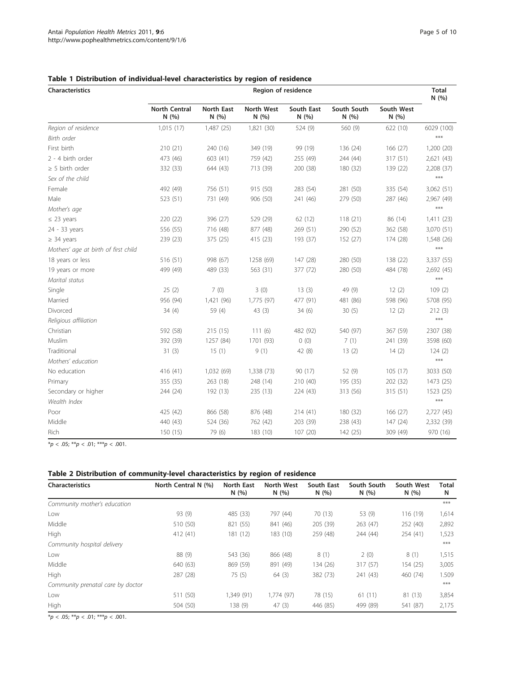| Characteristics                      | Region of residence          |                    |                           |                    |                     |                    |            |
|--------------------------------------|------------------------------|--------------------|---------------------------|--------------------|---------------------|--------------------|------------|
|                                      | <b>North Central</b><br>N(%) | North East<br>N(%) | <b>North West</b><br>N(%) | South East<br>N(%) | South South<br>N(%) | South West<br>N(%) | N (%)      |
| Region of residence                  | 1,015(17)                    | 1,487 (25)         | 1,821 (30)                | 524 (9)            | 560 (9)             | 622 (10)           | 6029 (100) |
| Birth order                          |                              |                    |                           |                    |                     |                    | ***        |
| First birth                          | 210(21)                      | 240 (16)           | 349 (19)                  | 99 (19)            | 136 (24)            | 166(27)            | 1,200 (20) |
| 2 - 4 birth order                    | 473 (46)                     | 603 (41)           | 759 (42)                  | 255 (49)           | 244 (44)            | 317(51)            | 2,621(43)  |
| $\geq$ 5 birth order                 | 332 (33)                     | 644 (43)           | 713 (39)                  | 200 (38)           | 180 (32)            | 139 (22)           | 2,208 (37) |
| Sex of the child                     |                              |                    |                           |                    |                     |                    | $***$      |
| Female                               | 492 (49)                     | 756 (51)           | 915 (50)                  | 283 (54)           | 281 (50)            | 335 (54)           | 3,062 (51) |
| Male                                 | 523 (51)                     | 731 (49)           | 906 (50)                  | 241 (46)           | 279 (50)            | 287 (46)           | 2,967 (49) |
| Mother's age                         |                              |                    |                           |                    |                     |                    | $***$      |
| $\leq$ 23 years                      | 220 (22)                     | 396 (27)           | 529 (29)                  | 62(12)             | 118(21)             | 86 (14)            | 1,411(23)  |
| 24 - 33 years                        | 556 (55)                     | 716 (48)           | 877 (48)                  | 269 (51)           | 290 (52)            | 362 (58)           | 3,070 (51) |
| $\geq$ 34 years                      | 239 (23)                     | 375 (25)           | 415 (23)                  | 193 (37)           | 152 (27)            | 174 (28)           | 1,548 (26) |
| Mothers' age at birth of first child |                              |                    |                           |                    |                     |                    | $***$      |
| 18 years or less                     | 516 (51)                     | 998 (67)           | 1258 (69)                 | 147 (28)           | 280 (50)            | 138 (22)           | 3,337 (55) |
| 19 years or more                     | 499 (49)                     | 489 (33)           | 563 (31)                  | 377 (72)           | 280 (50)            | 484 (78)           | 2,692 (45) |
| Marital status                       |                              |                    |                           |                    |                     |                    | ***        |
| Single                               | 25(2)                        | 7(0)               | 3(0)                      | 13(3)              | 49 (9)              | 12(2)              | 109(2)     |
| Married                              | 956 (94)                     | 1,421 (96)         | 1,775 (97)                | 477 (91)           | 481 (86)            | 598 (96)           | 5708 (95)  |
| Divorced                             | 34(4)                        | 59 (4)             | 43(3)                     | 34(6)              | 30(5)               | 12(2)              | 212(3)     |
| Religious affiliation                |                              |                    |                           |                    |                     |                    | $***$      |
| Christian                            | 592 (58)                     | 215(15)            | 111(6)                    | 482 (92)           | 540 (97)            | 367 (59)           | 2307 (38)  |
| Muslim                               | 392 (39)                     | 1257 (84)          | 1701 (93)                 | 0(0)               | 7(1)                | 241 (39)           | 3598 (60)  |
| Traditional                          | 31(3)                        | 15(1)              | 9(1)                      | 42 (8)             | 13(2)               | 14(2)              | 124(2)     |
| Mothers' education                   |                              |                    |                           |                    |                     |                    | $***$      |
| No education                         | 416 (41)                     | 1,032 (69)         | 1,338 (73)                | 90 (17)            | 52 (9)              | 105(17)            | 3033 (50)  |
| Primary                              | 355 (35)                     | 263 (18)           | 248 (14)                  | 210 (40)           | 195 (35)            | 202 (32)           | 1473 (25)  |
| Secondary or higher                  | 244 (24)                     | 192 (13)           | 235 (13)                  | 224 (43)           | 313 (56)            | 315(51)            | 1523 (25)  |
| Wealth Index                         |                              |                    |                           |                    |                     |                    | $***$      |
| Poor                                 | 425 (42)                     | 866 (58)           | 876 (48)                  | 214(41)            | 180 (32)            | 166(27)            | 2,727 (45) |
| Middle                               | 440 (43)                     | 524 (36)           | 762 (42)                  | 203 (39)           | 238 (43)            | 147 (24)           | 2,332 (39) |
| Rich                                 | 150 (15)                     | 79 (6)             | 183 (10)                  | 107 (20)           | 142 (25)            | 309 (49)           | 970 (16)   |

# <span id="page-4-0"></span>Table 1 Distribution of individual-level characteristics by region of residence

 $*p < .05; **p < .01; **p < .001.$ 

# Table 2 Distribution of community-level characteristics by region of residence

| <b>Characteristics</b>            | North Central N (%) | <b>North East</b><br>N(%) | <b>North West</b><br>N(96) | South East<br>N(96) | South South<br>N(96) | South West<br>N(96) | <b>Total</b><br>N |
|-----------------------------------|---------------------|---------------------------|----------------------------|---------------------|----------------------|---------------------|-------------------|
| Community mother's education      |                     |                           |                            |                     |                      |                     | ***               |
| Low                               | 93 (9)              | 485 (33)                  | 797 (44)                   | 70 (13)             | 53 (9)               | 116(19)             | 1,614             |
| Middle                            | 510 (50)            | 821 (55)                  | 841 (46)                   | 205 (39)            | 263(47)              | 252 (40)            | 2,892             |
| High                              | 412(41)             | 181 (12)                  | 183 (10)                   | 259 (48)            | 244 (44)             | 254 (41)            | 1,523             |
| Community hospital delivery       |                     |                           |                            |                     |                      |                     | ***               |
| Low                               | 88 (9)              | 543 (36)                  | 866 (48)                   | 8(1)                | 2(0)                 | 8(1)                | 1,515             |
| Middle                            | 640 (63)            | 869 (59)                  | 891 (49)                   | 134 (26)            | 317 (57)             | 154(25)             | 3,005             |
| High                              | 287 (28)            | 75(5)                     | 64(3)                      | 382 (73)            | 241 (43)             | 460 (74)            | 1.509             |
| Community prenatal care by doctor |                     |                           |                            |                     |                      |                     | ***               |
| Low                               | 511 (50)            | 1,349 (91)                | 1,774 (97)                 | 78 (15)             | 61(11)               | 81 (13)             | 3,854             |
| High                              | 504 (50)            | 138 (9)                   | 47(3)                      | 446 (85)            | 499 (89)             | 541 (87)            | 2,175             |

 $*p < .05; **p < .01; **p < .001.$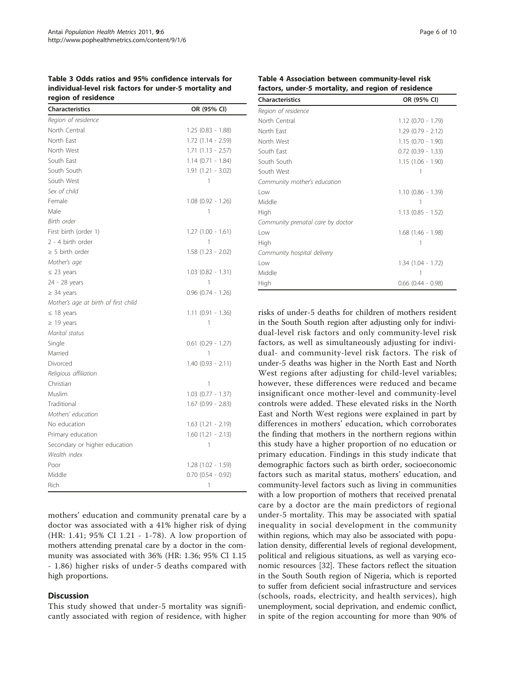<span id="page-5-0"></span>Table 3 Odds ratios and 95% confidence intervals for individual-level risk factors for under-5 mortality and region of residence

| <b>Characteristics</b>               | OR (95% CI)            |
|--------------------------------------|------------------------|
| Region of residence                  |                        |
| North Central                        | $1.25(0.83 - 1.88)$    |
| North East                           | $1.72$ $(1.14 - 2.59)$ |
| North West                           | $1.71(1.13 - 2.57)$    |
| South East                           | $1.14$ (0.71 - 1.84)   |
| South South                          | $1.91(1.21 - 3.02)$    |
| South West                           | 1                      |
| Sex of child                         |                        |
| Female                               | $1.08$ $(0.92 - 1.26)$ |
| Male                                 | 1                      |
| Birth order                          |                        |
| First birth (order 1)                | $1.27(1.00 - 1.61)$    |
| 2 - 4 birth order                    | 1                      |
| $\geq$ 5 birth order                 | 1.58 (1.23 - 2.02)     |
| Mother's age                         |                        |
| $\leq$ 23 years                      | $1.03$ $(0.82 - 1.31)$ |
| 24 - 28 years                        | 1                      |
| $\geq$ 34 years                      | $0.96$ $(0.74 - 1.26)$ |
| Mother's age at birth of first child |                        |
| $\leq 18$ years                      | $1.11(0.91 - 1.36)$    |
| $\geq$ 19 years                      | 1                      |
| Marital status                       |                        |
| Single                               | $0.61$ $(0.29 - 1.27)$ |
| Married                              | 1                      |
| Divorced                             | $1.40(0.93 - 2.11)$    |
| Religious affiliation                |                        |
| Christian                            | 1                      |
| Muslim                               | $1.03$ $(0.77 - 1.37)$ |
| Traditional                          | $1.67$ (0.99 - 2.83)   |
| Mothers' education                   |                        |
| No education                         | $1.63$ $(1.21 - 2.19)$ |
| Primary education                    | $1.60$ $(1.21 - 2.13)$ |
| Secondary or higher education        | 1                      |
| Wealth index                         |                        |
| Poor                                 | 1.28 (1.02 - 1.59)     |
| Middle                               | $0.70$ $(0.54 - 0.92)$ |
| Rich                                 | 1                      |

mothers' education and community prenatal care by a doctor was associated with a 41% higher risk of dying (HR: 1.41; 95% CI 1.21 - 1-78). A low proportion of mothers attending prenatal care by a doctor in the community was associated with 36% (HR: 1.36; 95% CI 1.15 - 1.86) higher risks of under-5 deaths compared with high proportions.

#### **Discussion**

This study showed that under-5 mortality was significantly associated with region of residence, with higher

Table 4 Association between community-level risk factors, under-5 mortality, and region of residence

| <b>Characteristics</b>            | OR (95% CI)            |  |  |
|-----------------------------------|------------------------|--|--|
| Region of residence               |                        |  |  |
| North Central                     | $1.12$ (0.70 - 1.79)   |  |  |
| North Fast                        | $1.29(0.79 - 2.12)$    |  |  |
| North West                        | $1.15(0.70 - 1.90)$    |  |  |
| South Fast                        | $0.72$ $(0.39 - 1.33)$ |  |  |
| South South                       | $1.15(1.06 - 1.90)$    |  |  |
| South West                        |                        |  |  |
| Community mother's education      |                        |  |  |
| l ow                              | $1.10$ (0.86 - 1.39)   |  |  |
| Middle                            |                        |  |  |
| High                              | $1.13(0.85 - 1.52)$    |  |  |
| Community prenatal care by doctor |                        |  |  |
| l ow                              | $1.68(1.46 - 1.98)$    |  |  |
| High                              |                        |  |  |
| Community hospital delivery       |                        |  |  |
| l ow                              | $1.34(1.04 - 1.72)$    |  |  |
| Middle                            |                        |  |  |
| High                              | $0.66$ $(0.44 - 0.98)$ |  |  |

risks of under-5 deaths for children of mothers resident in the South South region after adjusting only for individual-level risk factors and only community-level risk factors, as well as simultaneously adjusting for individual- and community-level risk factors. The risk of under-5 deaths was higher in the North East and North West regions after adjusting for child-level variables; however, these differences were reduced and became insignificant once mother-level and community-level controls were added. These elevated risks in the North East and North West regions were explained in part by differences in mothers' education, which corroborates the finding that mothers in the northern regions within this study have a higher proportion of no education or primary education. Findings in this study indicate that demographic factors such as birth order, socioeconomic factors such as marital status, mothers' education, and community-level factors such as living in communities with a low proportion of mothers that received prenatal care by a doctor are the main predictors of regional under-5 mortality. This may be associated with spatial inequality in social development in the community within regions, which may also be associated with population density, differential levels of regional development, political and religious situations, as well as varying economic resources [\[32](#page-9-0)]. These factors reflect the situation in the South South region of Nigeria, which is reported to suffer from deficient social infrastructure and services (schools, roads, electricity, and health services), high unemployment, social deprivation, and endemic conflict, in spite of the region accounting for more than 90% of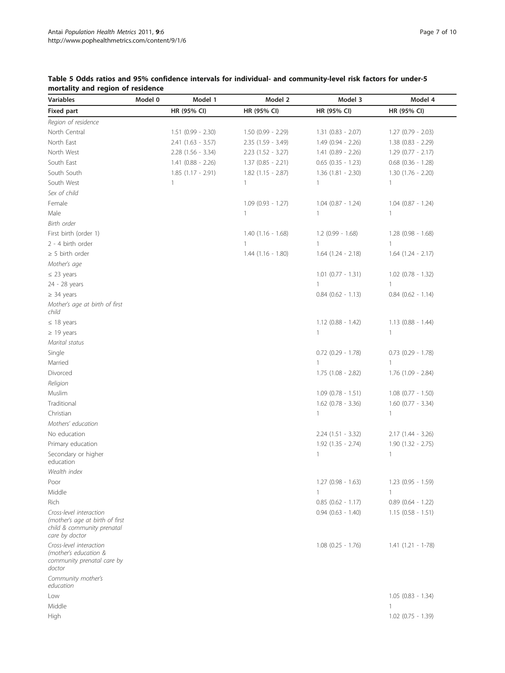| <b>Variables</b>                                                                                           | Model 0 | Model 1              | Model 2                | Model 3                | Model 4                |
|------------------------------------------------------------------------------------------------------------|---------|----------------------|------------------------|------------------------|------------------------|
| <b>Fixed part</b>                                                                                          |         | HR (95% CI)          | HR (95% CI)            | HR (95% CI)            | HR (95% CI)            |
| Region of residence                                                                                        |         |                      |                        |                        |                        |
| North Central                                                                                              |         | $1.51$ (0.99 - 2.30) | $1.50$ (0.99 - 2.29)   | $1.31$ (0.83 - 2.07)   | $1.27(0.79 - 2.03)$    |
| North East                                                                                                 |         | $2.41$ (1.63 - 3.57) | $2.35$ $(1.59 - 3.49)$ | 1.49 (0.94 - 2.26)     | $1.38$ (0.83 - 2.29)   |
| North West                                                                                                 |         | 2.28 (1.56 - 3.34)   | $2.23$ (1.52 - 3.27)   | $1.41$ (0.89 - 2.26)   | $1.29$ (0.77 - 2.17)   |
| South East                                                                                                 |         | $1.41$ (0.88 - 2.26) | $1.37(0.85 - 2.21)$    | $0.65$ $(0.35 - 1.23)$ | $0.68$ $(0.36 - 1.28)$ |
| South South                                                                                                |         | $1.85(1.17 - 2.91)$  | $1.82$ (1.15 - 2.87)   | $1.36(1.81 - 2.30)$    | $1.30(1.76 - 2.20)$    |
| South West                                                                                                 |         | 1                    | $\overline{1}$         | $\mathbf{1}$           | $\mathbb{1}$           |
| Sex of child                                                                                               |         |                      |                        |                        |                        |
| Female                                                                                                     |         |                      | $1.09$ (0.93 - 1.27)   | $1.04$ (0.87 - 1.24)   | $1.04$ (0.87 - 1.24)   |
| Male                                                                                                       |         |                      | $\overline{1}$         | $\mathbf{1}$           | 1                      |
| Birth order                                                                                                |         |                      |                        |                        |                        |
| First birth (order 1)                                                                                      |         |                      | $1.40(1.16 - 1.68)$    | $1.2$ (0.99 - 1.68)    | $1.28$ (0.98 - 1.68)   |
| 2 - 4 birth order                                                                                          |         |                      | $\overline{1}$         | $\mathbb{1}$           | $\overline{1}$         |
| $\geq$ 5 birth order                                                                                       |         |                      | $1.44$ $(1.16 - 1.80)$ | $1.64$ $(1.24 - 2.18)$ | $1.64$ $(1.24 - 2.17)$ |
| Mother's age                                                                                               |         |                      |                        |                        |                        |
| $\leq$ 23 years                                                                                            |         |                      |                        | $1.01$ $(0.77 - 1.31)$ | $1.02$ (0.78 - 1.32)   |
| 24 - 28 years                                                                                              |         |                      |                        | $\mathbb{1}$           | 1                      |
| $\geq$ 34 years                                                                                            |         |                      |                        | $0.84$ $(0.62 - 1.13)$ | $0.84$ $(0.62 - 1.14)$ |
| Mother's age at birth of first<br>child                                                                    |         |                      |                        |                        |                        |
| $\leq$ 18 years                                                                                            |         |                      |                        | $1.12$ (0.88 - 1.42)   | $1.13$ $(0.88 - 1.44)$ |
| $\geq$ 19 years                                                                                            |         |                      |                        | $\mathbb{1}$           | 1                      |
| Marital status                                                                                             |         |                      |                        |                        |                        |
| Single                                                                                                     |         |                      |                        | $0.72$ $(0.29 - 1.78)$ | $0.73$ $(0.29 - 1.78)$ |
| Married                                                                                                    |         |                      |                        | 1                      | 1                      |
| Divorced                                                                                                   |         |                      |                        | $1.75$ $(1.08 - 2.82)$ | $1.76$ $(1.09 - 2.84)$ |
| Religion                                                                                                   |         |                      |                        |                        |                        |
| Muslim                                                                                                     |         |                      |                        | $1.09$ (0.78 - 1.51)   | $1.08$ (0.77 - 1.50)   |
| Traditional                                                                                                |         |                      |                        | $1.62$ (0.78 - 3.36)   | $1.60$ (0.77 - 3.34)   |
| Christian                                                                                                  |         |                      |                        | $\mathbf{1}$           | 1                      |
| Mothers' education                                                                                         |         |                      |                        |                        |                        |
| No education                                                                                               |         |                      |                        | $2.24$ (1.51 - 3.32)   | $2.17(1.44 - 3.26)$    |
| Primary education                                                                                          |         |                      |                        | $1.92$ $(1.35 - 2.74)$ | $1.90(1.32 - 2.75)$    |
| Secondary or higher<br>education                                                                           |         |                      |                        | $\mathbf{1}$           | 1                      |
| Wealth index                                                                                               |         |                      |                        |                        |                        |
| Poor                                                                                                       |         |                      |                        | $1.27$ (0.98 - 1.63)   | $1.23$ (0.95 - 1.59)   |
| Middle                                                                                                     |         |                      |                        | 1                      |                        |
| Rich                                                                                                       |         |                      |                        | $0.85$ (0.62 - 1.17)   | $0.89$ (0.64 - 1.22)   |
| Cross-level interaction<br>(mother's age at birth of first<br>child & community prenatal<br>care by doctor |         |                      |                        | $0.94$ $(0.63 - 1.40)$ | $1.15(0.58 - 1.51)$    |
| Cross-level interaction<br>(mother's education &<br>community prenatal care by<br>doctor                   |         |                      |                        | $1.08$ (0.25 - 1.76)   | $1.41(1.21 - 1 - 78)$  |
| Community mother's<br>education                                                                            |         |                      |                        |                        |                        |
| Low                                                                                                        |         |                      |                        |                        | $1.05(0.83 - 1.34)$    |
| Middle                                                                                                     |         |                      |                        |                        | $\mathbf{1}$           |

#### <span id="page-6-0"></span>Table 5 Odds ratios and 95% confidence intervals for individual- and community-level risk factors for under-5 mortality and region of residence

High 1.02 (0.75 - 1.39)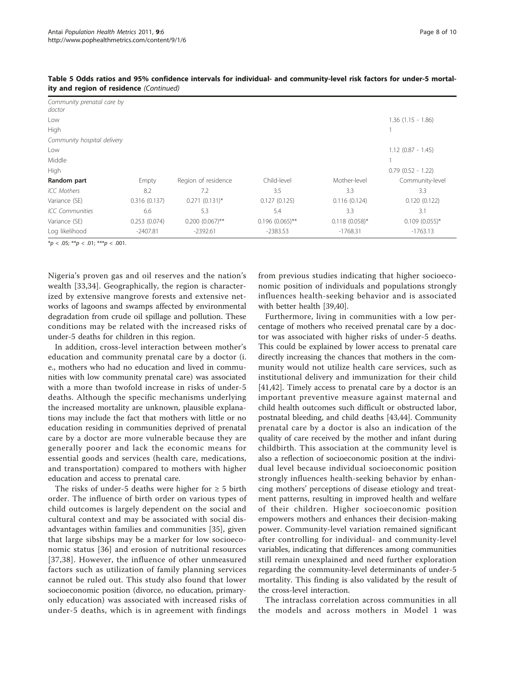| Community prenatal care by  |              |                     |                   |                  |                        |
|-----------------------------|--------------|---------------------|-------------------|------------------|------------------------|
| doctor                      |              |                     |                   |                  |                        |
| Low                         |              |                     |                   |                  | $1.36(1.15 - 1.86)$    |
| High                        |              |                     |                   |                  |                        |
| Community hospital delivery |              |                     |                   |                  |                        |
| Low                         |              |                     |                   |                  | $1.12$ (0.87 - 1.45)   |
| Middle                      |              |                     |                   |                  |                        |
| High                        |              |                     |                   |                  | $0.79$ $(0.52 - 1.22)$ |
| Random part                 | Empty        | Region of residence | Child-level       | Mother-level     | Community-level        |
| <b>ICC Mothers</b>          | 8.2          | 7.2                 | 3.5               | 3.3              | 3.3                    |
| Variance (SE)               | 0.316(0.137) | $0.271(0.131)^*$    | 0.127(0.125)      | 0.116(0.124)     | 0.120(0.122)           |
| <b>ICC</b> Communities      | 6.6          | 5.3                 | 5.4               | 3.3              | 3.1                    |
| Variance (SE)               | 0.253(0.074) | $0.200(0.067)$ **   | $0.196$ (0.065)** | $0.118(0.058)$ * | $0.109(0.055)*$        |
| Log likelihood              | $-2407.81$   | $-2392.61$          | $-2383.53$        | $-1768.31$       | $-1763.13$             |

#### Table 5 Odds ratios and 95% confidence intervals for individual- and community-level risk factors for under-5 mortality and region of residence (Continued)

 $**p* < .05; ***p* < .01; ****p* < .001.$ 

Nigeria's proven gas and oil reserves and the nation's wealth [[33,34](#page-9-0)]. Geographically, the region is characterized by extensive mangrove forests and extensive networks of lagoons and swamps affected by environmental degradation from crude oil spillage and pollution. These conditions may be related with the increased risks of under-5 deaths for children in this region.

In addition, cross-level interaction between mother's education and community prenatal care by a doctor (i. e., mothers who had no education and lived in communities with low community prenatal care) was associated with a more than twofold increase in risks of under-5 deaths. Although the specific mechanisms underlying the increased mortality are unknown, plausible explanations may include the fact that mothers with little or no education residing in communities deprived of prenatal care by a doctor are more vulnerable because they are generally poorer and lack the economic means for essential goods and services (health care, medications, and transportation) compared to mothers with higher education and access to prenatal care.

The risks of under-5 deaths were higher for  $\geq 5$  birth order. The influence of birth order on various types of child outcomes is largely dependent on the social and cultural context and may be associated with social disadvantages within families and communities [[35\]](#page-9-0), given that large sibships may be a marker for low socioeconomic status [\[36\]](#page-9-0) and erosion of nutritional resources [[37,38](#page-9-0)]. However, the influence of other unmeasured factors such as utilization of family planning services cannot be ruled out. This study also found that lower socioeconomic position (divorce, no education, primaryonly education) was associated with increased risks of under-5 deaths, which is in agreement with findings from previous studies indicating that higher socioeconomic position of individuals and populations strongly influences health-seeking behavior and is associated with better health [\[39,40\]](#page-9-0).

Furthermore, living in communities with a low percentage of mothers who received prenatal care by a doctor was associated with higher risks of under-5 deaths. This could be explained by lower access to prenatal care directly increasing the chances that mothers in the community would not utilize health care services, such as institutional delivery and immunization for their child [[41,42\]](#page-9-0). Timely access to prenatal care by a doctor is an important preventive measure against maternal and child health outcomes such difficult or obstructed labor, postnatal bleeding, and child deaths [\[43,44](#page-9-0)]. Community prenatal care by a doctor is also an indication of the quality of care received by the mother and infant during childbirth. This association at the community level is also a reflection of socioeconomic position at the individual level because individual socioeconomic position strongly influences health-seeking behavior by enhancing mothers' perceptions of disease etiology and treatment patterns, resulting in improved health and welfare of their children. Higher socioeconomic position empowers mothers and enhances their decision-making power. Community-level variation remained significant after controlling for individual- and community-level variables, indicating that differences among communities still remain unexplained and need further exploration regarding the community-level determinants of under-5 mortality. This finding is also validated by the result of the cross-level interaction.

The intraclass correlation across communities in all the models and across mothers in Model 1 was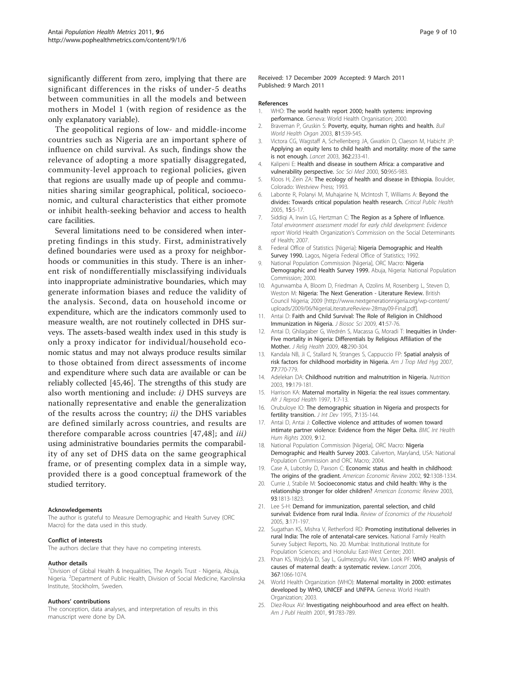<span id="page-8-0"></span>significantly different from zero, implying that there are significant differences in the risks of under-5 deaths between communities in all the models and between mothers in Model 1 (with region of residence as the only explanatory variable).

The geopolitical regions of low- and middle-income countries such as Nigeria are an important sphere of influence on child survival. As such, findings show the relevance of adopting a more spatially disaggregated, community-level approach to regional policies, given that regions are usually made up of people and communities sharing similar geographical, political, socioeconomic, and cultural characteristics that either promote or inhibit health-seeking behavior and access to health care facilities.

Several limitations need to be considered when interpreting findings in this study. First, administratively defined boundaries were used as a proxy for neighborhoods or communities in this study. There is an inherent risk of nondifferentially misclassifying individuals into inappropriate administrative boundaries, which may generate information biases and reduce the validity of the analysis. Second, data on household income or expenditure, which are the indicators commonly used to measure wealth, are not routinely collected in DHS surveys. The assets-based wealth index used in this study is only a proxy indicator for individual/household economic status and may not always produce results similar to those obtained from direct assessments of income and expenditure where such data are available or can be reliably collected [\[45](#page-9-0),[46](#page-9-0)]. The strengths of this study are also worth mentioning and include:  $i$ ) DHS surveys are nationally representative and enable the generalization of the results across the country;  $ii)$  the DHS variables are defined similarly across countries, and results are therefore comparable across countries [[47,48](#page-9-0)]; and iii) using administrative boundaries permits the comparability of any set of DHS data on the same geographical frame, or of presenting complex data in a simple way, provided there is a good conceptual framework of the studied territory.

#### Acknowledgements

The author is grateful to Measure Demographic and Health Survey (ORC Macro) for the data used in this study.

#### Conflict of interests

The authors declare that they have no competing interests.

#### Author details

<sup>1</sup> Division of Global Health & Inequalities, The Angels Trust - Nigeria, Abuja, Nigeria. <sup>2</sup>Department of Public Health, Division of Social Medicine, Karolinska Institute, Stockholm, Sweden.

#### Authors' contributions

The conception, data analyses, and interpretation of results in this manuscript were done by DA.

Received: 17 December 2009 Accepted: 9 March 2011 Published: 9 March 2011

#### References

- 1. WHO: The world health report 2000; health systems: improving performance. Geneva: World Health Organisation; 2000.
- 2. Braveman P, Gruskin S: Poverty, equity, human rights and health. Bull World Health Organ 2003, 81:539-545.
- 3. Victora CG, Wagstaff A, Schellenberg JA, Gwatkin D, Claeson M, Habicht JP: Applying an equity lens to child health and mortality: more of the same is not enough. Lancet 2003, 362:233-41.
- 4. Kalipeni E: Health and disease in southern Africa: a comparative and vulnerability perspective. Soc Sci Med 2000, 50:965-983.
- 5. Kloos H, Zein ZA: The ecology of health and disease in Ethiopia. Boulder, Colorado: Westview Press; 1993.
- 6. Labonte R, Polanyi M, Muhajarine N, McIntosh T, Williams A: Beyond the divides: Towards critical population health research. Critical Public Health 2005, 15:5-17.
- 7. Siddiqi A, Irwin LG, Hertzman C: The Region as a Sphere of Influence. Total environment assessment model for early child development: Evidence report World Health Organization's Commission on the Social Determinants of Health; 2007.
- 8. Federal Office of Statistics [Nigeria]: Nigeria Demographic and Health Survey 1990. Lagos, Nigeria Federal Office of Statistics; 1992.
- 9. National Population Commission [Nigeria], ORC Macro: Nigeria Demographic and Health Survey 1999. Abuja, Nigeria: National Population Commission; 2000.
- 10. Agunwamba A, Bloom D, Friedman A, Ozolins M, Rosenberg L, Steven D, Weston M: Nigeria: The Next Generation - Literature Review. British Council Nigeria; 2009 [[http://www.nextgenerationnigeria.org/wp-content/](http://www.nextgenerationnigeria.org/wp-content/uploads/2009/06/NigeriaLiteratureReview-28may09-Final.pdf) [uploads/2009/06/NigeriaLiteratureReview-28may09-Final.pdf](http://www.nextgenerationnigeria.org/wp-content/uploads/2009/06/NigeriaLiteratureReview-28may09-Final.pdf)].
- 11. Antai D: Faith and Child Survival: The Role of Religion in Childhood Immunization in Nigeria. J Biosoc Sci 2009, 41:57-76.
- 12. Antai D, Ghilagaber G, Wedrén S, Macassa G, Moradi T: Inequities in Under-Five mortality in Nigeria: Differentials by Religious Affiliation of the Mother. J Relig Health 2009, 48:290-304.
- 13. Kandala NB, Ji C, Stallard N, Stranges S, Cappuccio FP: Spatial analysis of risk factors for childhood morbidity in Nigeria. Am J Trop Med Hyg 2007, 77:770-779.
- 14. Adelekan DA: Childhood nutrition and malnutrition in Nigeria. Nutrition 2003, 19:179-181.
- 15. Harrison KA: Maternal mortality in Nigeria: the real issues commentary. Afr J Reprod Health 1997, 1:7-13.
- 16. Orubuloye IO: The demographic situation in Nigeria and prospects for fertility transition. J Int Dev 1995, 7:135-144.
- 17. Antai D, Antai J: Collective violence and attitudes of women toward intimate partner violence: Evidence from the Niger Delta. BMC Int Health Hum Rights 2009, 9:12.
- 18. National Population Commission [Nigeria], ORC Macro: Nigeria Demographic and Health Survey 2003. Calverton, Maryland, USA: National Population Commission and ORC Macro; 2004.
- 19. Case A, Lubotsky D, Paxson C: Economic status and health in childhood: The origins of the gradient. American Economic Review 2002, 92:1308-1334.
- 20. Currie J, Stabile M: Socioeconomic status and child health: Why is the relationship stronger for older children? American Economic Review 2003, 93:1813-1823.
- 21. Lee S-H: Demand for immunization, parental selection, and child survival: Evidence from rural India. Review of Economics of the Household 2005, 3:171-197.
- 22. Sugathan KS, Mishra V, Retherford RD: Promoting institutional deliveries in rural India: The role of antenatal-care services. National Family Health Survey Subject Reports, No. 20. Mumbai: Institutional Institute for Population Sciences; and Honolulu: East-West Center; 2001.
- 23. Khan KS, Wojdyla D, Say L, Gulmezoglu AM, Van Look PF: WHO analysis of causes of maternal death: a systematic review. Lancet 2006, 367:1066-1074.
- 24. World Health Organization (WHO): Maternal mortality in 2000: estimates developed by WHO, UNICEF and UNFPA. Geneva: World Health Organization; 2003.
- 25. Diez-Roux AV: Investigating neighbourhood and area effect on health. Am J Publ Health 2001, 91:783-789.